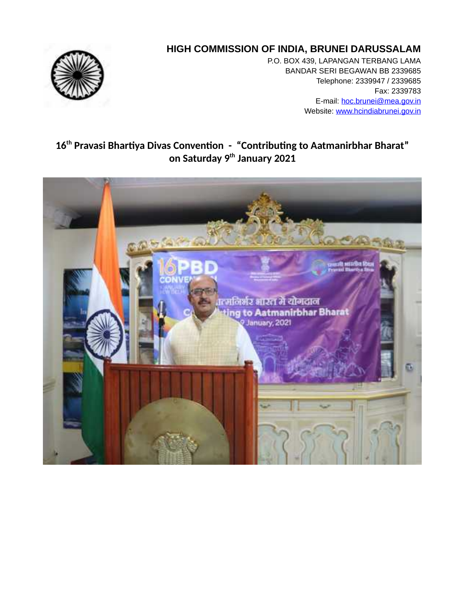## **HIGH COMMISSION OF INDIA, BRUNEI DARUSSALAM**



P.O. BOX 439, LAPANGAN TERBANG LAMA BANDAR SERI BEGAWAN BB 2339685 Telephone: 2339947 / 2339685 Fax: 2339783 E-mail: hoc.brunei@mea.gov.in Website: www.hcindiabrunei.gov.in

## **16th Pravasi Bhartiya Divas Convention - "Contributing to Aatmanirbhar Bharat" on Saturday 9th January 2021**

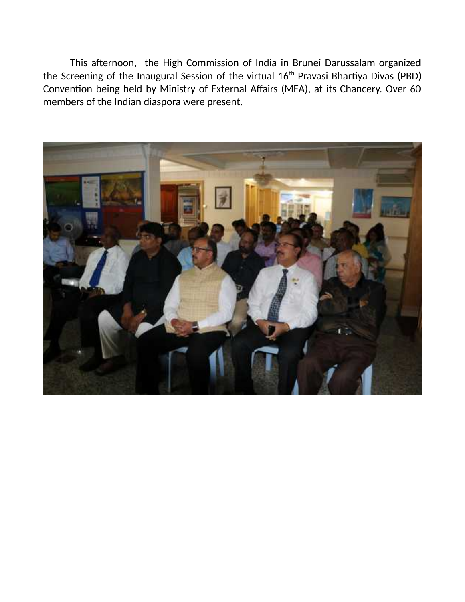This afternoon, the High Commission of India in Brunei Darussalam organized the Screening of the Inaugural Session of the virtual 16<sup>th</sup> Pravasi Bhartiya Divas (PBD) Convention being held by Ministry of External Affairs (MEA), at its Chancery. Over 60 members of the Indian diaspora were present.

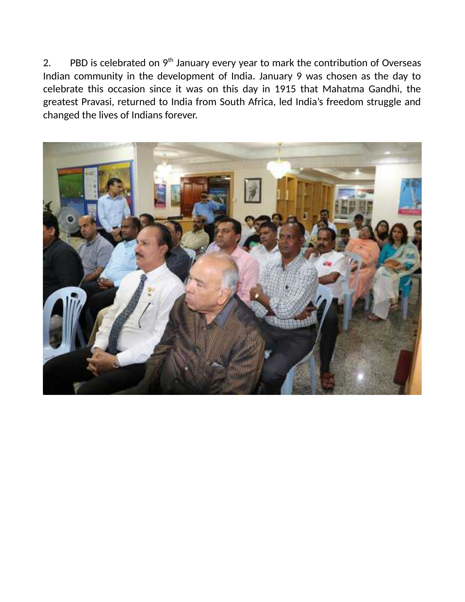2. PBD is celebrated on  $9<sup>th</sup>$  January every year to mark the contribution of Overseas Indian community in the development of India. January 9 was chosen as the day to celebrate this occasion since it was on this day in 1915 that Mahatma Gandhi, the greatest Pravasi, returned to India from South Africa, led India's freedom struggle and changed the lives of Indians forever.

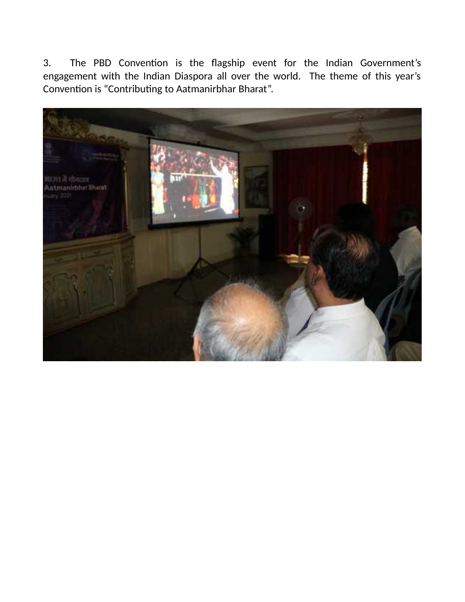3. The PBD Convention is the flagship event for the Indian Government's engagement with the Indian Diaspora all over the world. The theme of this year's Convention is "Contributing to Aatmanirbhar Bharat".

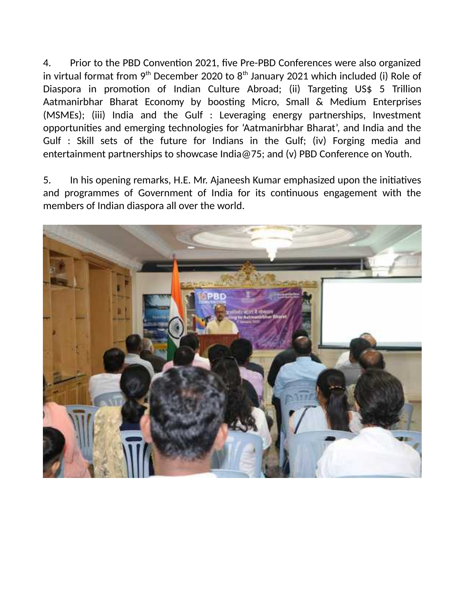4. Prior to the PBD Convention 2021, five Pre-PBD Conferences were also organized in virtual format from  $9<sup>th</sup>$  December 2020 to  $8<sup>th</sup>$  January 2021 which included (i) Role of Diaspora in promotion of Indian Culture Abroad; (ii) Targeting US\$ 5 Trillion Aatmanirbhar Bharat Economy by boosting Micro, Small & Medium Enterprises (MSMEs); (iii) India and the Gulf : Leveraging energy partnerships, Investment opportunities and emerging technologies for 'Aatmanirbhar Bharat', and India and the Gulf : Skill sets of the future for Indians in the Gulf; (iv) Forging media and entertainment partnerships to showcase India@75; and (v) PBD Conference on Youth.

5. In his opening remarks, H.E. Mr. Ajaneesh Kumar emphasized upon the initiatives and programmes of Government of India for its continuous engagement with the members of Indian diaspora all over the world.

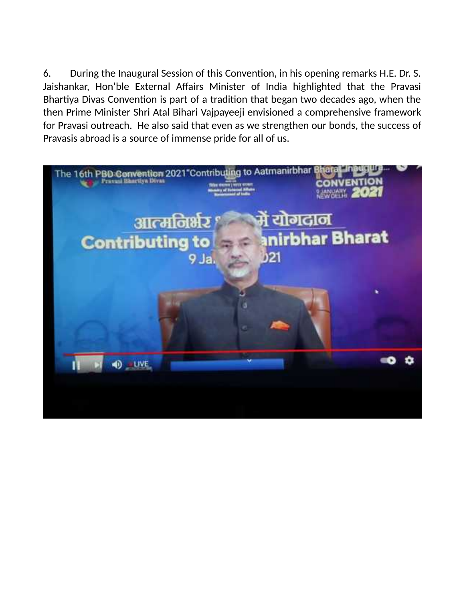6. During the Inaugural Session of this Convention, in his opening remarks H.E. Dr. S. Jaishankar, Hon'ble External Affairs Minister of India highlighted that the Pravasi Bhartiya Divas Convention is part of a tradition that began two decades ago, when the then Prime Minister Shri Atal Bihari Vajpayeeji envisioned a comprehensive framework for Pravasi outreach. He also said that even as we strengthen our bonds, the success of Pravasis abroad is a source of immense pride for all of us.

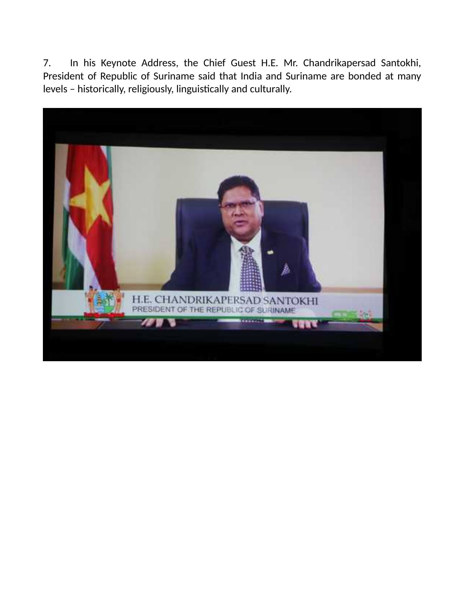7. In his Keynote Address, the Chief Guest H.E. Mr. Chandrikapersad Santokhi, President of Republic of Suriname said that India and Suriname are bonded at many levels – historically, religiously, linguistically and culturally.

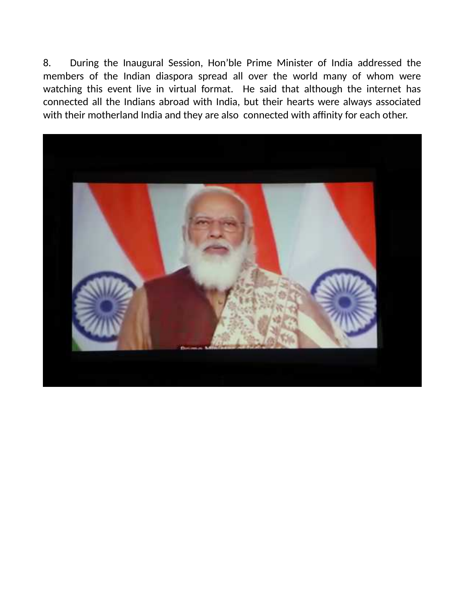8. During the Inaugural Session, Hon'ble Prime Minister of India addressed the members of the Indian diaspora spread all over the world many of whom were watching this event live in virtual format. He said that although the internet has connected all the Indians abroad with India, but their hearts were always associated with their motherland India and they are also connected with affinity for each other.